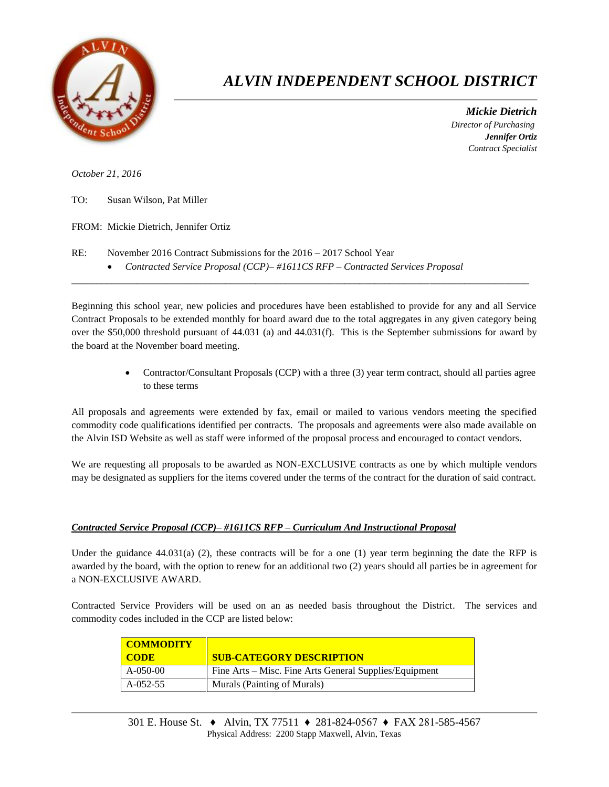

## *ALVIN INDEPENDENT SCHOOL DISTRICT*

 *Mickie Dietrich Director of Purchasing Jennifer Ortiz Contract Specialist*

*October 21, 2016*

TO: Susan Wilson, Pat Miller

FROM: Mickie Dietrich, Jennifer Ortiz

- RE: November 2016 Contract Submissions for the 2016 2017 School Year
	- *Contracted Service Proposal (CCP)– #1611CS RFP – Contracted Services Proposal*

Beginning this school year, new policies and procedures have been established to provide for any and all Service Contract Proposals to be extended monthly for board award due to the total aggregates in any given category being over the \$50,000 threshold pursuant of 44.031 (a) and 44.031(f). This is the September submissions for award by the board at the November board meeting.

 $\overline{a}$  , and the state of the state of the state of the state of the state of the state of the state of the state of the state of the state of the state of the state of the state of the state of the state of the state o

• Contractor/Consultant Proposals (CCP) with a three (3) year term contract, should all parties agree to these terms

All proposals and agreements were extended by fax, email or mailed to various vendors meeting the specified commodity code qualifications identified per contracts. The proposals and agreements were also made available on the Alvin ISD Website as well as staff were informed of the proposal process and encouraged to contact vendors.

We are requesting all proposals to be awarded as NON-EXCLUSIVE contracts as one by which multiple vendors may be designated as suppliers for the items covered under the terms of the contract for the duration of said contract.

## *Contracted Service Proposal (CCP)– #1611CS RFP – Curriculum And Instructional Proposal*

Under the guidance  $44.031(a)$  (2), these contracts will be for a one (1) year term beginning the date the RFP is awarded by the board, with the option to renew for an additional two (2) years should all parties be in agreement for a NON-EXCLUSIVE AWARD.

Contracted Service Providers will be used on an as needed basis throughout the District. The services and commodity codes included in the CCP are listed below:

| <b>COMMODITY</b> |                                                        |
|------------------|--------------------------------------------------------|
| <b>CODE</b>      | <b>SUB-CATEGORY DESCRIPTION</b>                        |
| $A-050-00$       | Fine Arts – Misc. Fine Arts General Supplies/Equipment |
| A-052-55         | Murals (Painting of Murals)                            |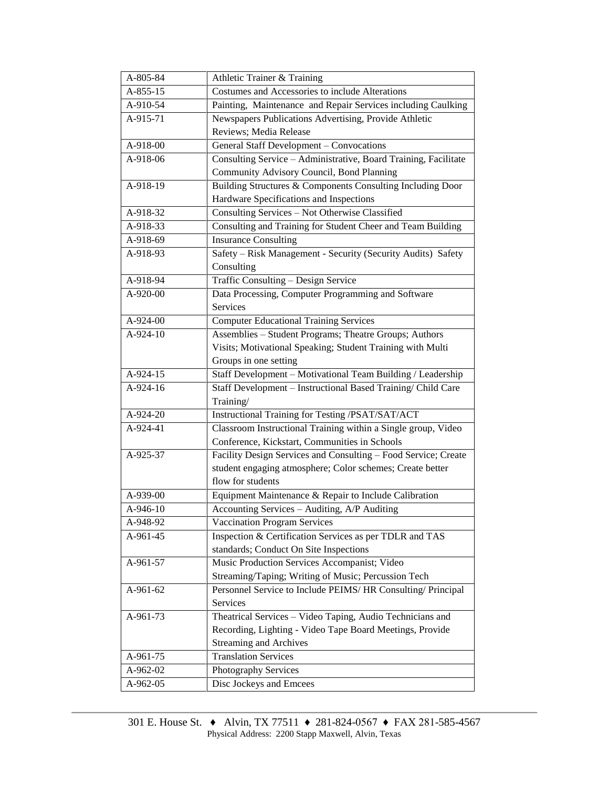| A-805-84   | Athletic Trainer & Training                                     |  |  |  |
|------------|-----------------------------------------------------------------|--|--|--|
| A-855-15   | Costumes and Accessories to include Alterations                 |  |  |  |
| A-910-54   | Painting, Maintenance and Repair Services including Caulking    |  |  |  |
| A-915-71   | Newspapers Publications Advertising, Provide Athletic           |  |  |  |
|            | Reviews; Media Release                                          |  |  |  |
| A-918-00   | General Staff Development - Convocations                        |  |  |  |
| A-918-06   | Consulting Service - Administrative, Board Training, Facilitate |  |  |  |
|            | Community Advisory Council, Bond Planning                       |  |  |  |
| A-918-19   | Building Structures & Components Consulting Including Door      |  |  |  |
|            | Hardware Specifications and Inspections                         |  |  |  |
| A-918-32   | Consulting Services - Not Otherwise Classified                  |  |  |  |
| A-918-33   | Consulting and Training for Student Cheer and Team Building     |  |  |  |
| A-918-69   | <b>Insurance Consulting</b>                                     |  |  |  |
| A-918-93   | Safety - Risk Management - Security (Security Audits) Safety    |  |  |  |
|            | Consulting                                                      |  |  |  |
| A-918-94   | Traffic Consulting - Design Service                             |  |  |  |
| A-920-00   | Data Processing, Computer Programming and Software              |  |  |  |
|            | Services                                                        |  |  |  |
| $A-924-00$ | <b>Computer Educational Training Services</b>                   |  |  |  |
| A-924-10   | Assemblies - Student Programs; Theatre Groups; Authors          |  |  |  |
|            | Visits; Motivational Speaking; Student Training with Multi      |  |  |  |
|            | Groups in one setting                                           |  |  |  |
| A-924-15   | Staff Development - Motivational Team Building / Leadership     |  |  |  |
| A-924-16   | Staff Development - Instructional Based Training/ Child Care    |  |  |  |
|            | Training/                                                       |  |  |  |
| A-924-20   | Instructional Training for Testing /PSAT/SAT/ACT                |  |  |  |
| A-924-41   | Classroom Instructional Training within a Single group, Video   |  |  |  |
|            | Conference, Kickstart, Communities in Schools                   |  |  |  |
| A-925-37   | Facility Design Services and Consulting - Food Service; Create  |  |  |  |
|            | student engaging atmosphere; Color schemes; Create better       |  |  |  |
|            | flow for students                                               |  |  |  |
| A-939-00   | Equipment Maintenance & Repair to Include Calibration           |  |  |  |
| A-946-10   | Accounting Services - Auditing, A/P Auditing                    |  |  |  |
| A-948-92   | Vaccination Program Services                                    |  |  |  |
| A-961-45   | Inspection & Certification Services as per TDLR and TAS         |  |  |  |
|            | standards; Conduct On Site Inspections                          |  |  |  |
| A-961-57   | Music Production Services Accompanist; Video                    |  |  |  |
|            | Streaming/Taping; Writing of Music; Percussion Tech             |  |  |  |
| A-961-62   | Personnel Service to Include PEIMS/ HR Consulting/ Principal    |  |  |  |
|            | Services                                                        |  |  |  |
| A-961-73   | Theatrical Services - Video Taping, Audio Technicians and       |  |  |  |
|            | Recording, Lighting - Video Tape Board Meetings, Provide        |  |  |  |
|            | <b>Streaming and Archives</b>                                   |  |  |  |
| A-961-75   | <b>Translation Services</b>                                     |  |  |  |
| A-962-02   | Photography Services                                            |  |  |  |
| A-962-05   | Disc Jockeys and Emcees                                         |  |  |  |